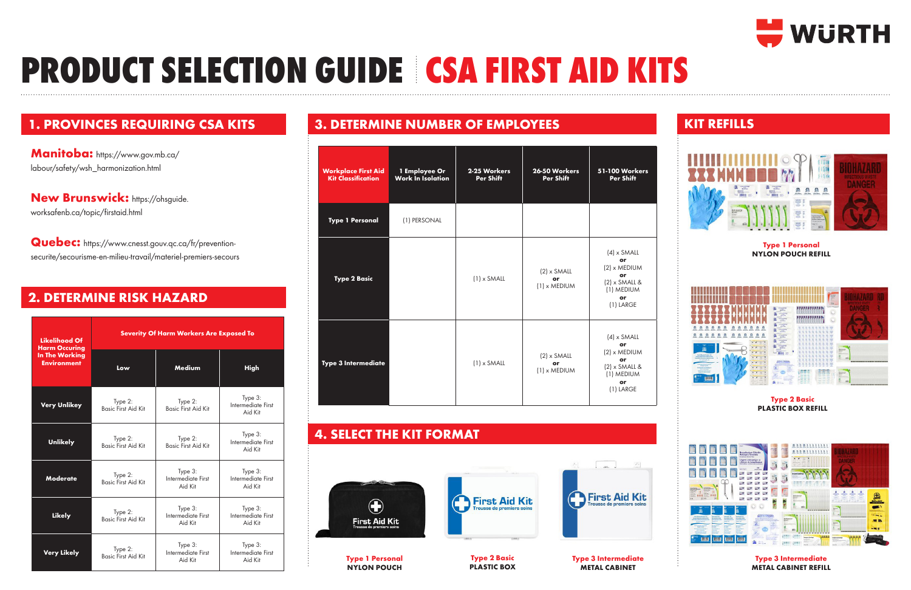### **1. PROVINCES REQUIRING CSA KITS**

# **PRODUCT SELECTION GUIDE CSA FIRST AID KITS**







New Brunswick: https://ohsguide. worksafenb.ca/topic/firstaid.html

**Manitoba:** https://www.gov.mb.ca/ labour/safety/wsh\_harmonization.html

**Quebec:** https://www.cnesst.gouv.qc.ca/fr/preventionsecurite/secourisme-en-milieu-travail/materiel-premiers-secours

## **2. DETERMINE RISK HAZARD**

| <b>Likelihood Of</b><br><b>Harm Occuring</b><br>In The Working<br><b>Environment</b> | <b>Severity Of Harm Workers Are Exposed To</b> |                                          |                                          |  |
|--------------------------------------------------------------------------------------|------------------------------------------------|------------------------------------------|------------------------------------------|--|
|                                                                                      | Low                                            | Medium                                   | High                                     |  |
| Very Unlikey                                                                         | Type 2:<br><b>Basic First Aid Kit</b>          | Type 2:<br><b>Basic First Aid Kit</b>    | Type 3:<br>Intermediate First<br>Aid Kit |  |
| <b>Unlikely</b>                                                                      | Type 2:<br><b>Basic First Aid Kit</b>          | Type 2:<br><b>Basic First Aid Kit</b>    | Type 3:<br>Intermediate First<br>Aid Kit |  |
| <b>Moderate</b>                                                                      | Type 2:<br><b>Basic First Aid Kit</b>          | Type 3:<br>Intermediate First<br>Aid Kit | Type 3:<br>Intermediate First<br>Aid Kit |  |
| <b>Likely</b>                                                                        | Type 2:<br><b>Basic First Aid Kit</b>          | Type 3:<br>Intermediate First<br>Aid Kit | Type 3:<br>Intermediate First<br>Aid Kit |  |
| <b>Very Likely</b>                                                                   | Type 2:<br><b>Basic First Aid Kit</b>          | Type 3:<br>Intermediate First<br>Aid Kit | Type 3:<br>Intermediate First<br>Aid Kit |  |

### **3. DETERMINE NUMBER OF EMPLOYEES**

| <b>Workplace First Aid</b><br><b>Kit Classification</b> | 1 Employee Or<br><b>Work In Isolation</b> | 2-25 Workers<br>Per Shift | 26-50 Workers<br><b>Per Shift</b>          | <b>51-100 Workers</b><br><b>Per Shift</b>                                                              |
|---------------------------------------------------------|-------------------------------------------|---------------------------|--------------------------------------------|--------------------------------------------------------------------------------------------------------|
| <b>Type 1 Personal</b>                                  | (1) PERSONAL                              |                           |                                            |                                                                                                        |
| <b>Type 2 Basic</b>                                     |                                           | $(1) \times$ SMALL        | $(2) \times$ SMALL<br>or<br>$(1)$ x MEDIUM | $(4) \times$ SMALL<br>or<br>$(2)$ x MEDIUM<br>or<br>$(2)$ x SMALL &<br>(1) MEDIUM<br>or<br>(1) LARGE   |
| Type 3 Intermediate                                     |                                           | $(1)$ x SMALL             | $(2) \times$ SMALL<br>or<br>$(1)$ x MEDIUM | $(4) \times$ SMALL<br>or<br>$(2)$ x MEDIUM<br>or<br>$(2)$ x SMALL &<br>(1) MEDIUM<br>or<br>$(1)$ LARGE |

### **4. SELECT THE KIT FORMAT**



**Type 2 Basic PLASTIC BOX** **Type 3 Intermediate METAL CABINET**



### **KIT REFILLS**



### **Type 1 Personal NYLON POUCH REFILL**



#### **Type 2 Basic PLASTIC BOX REFILL**



**Type 3 Intermediate METAL CABINET REFILL**